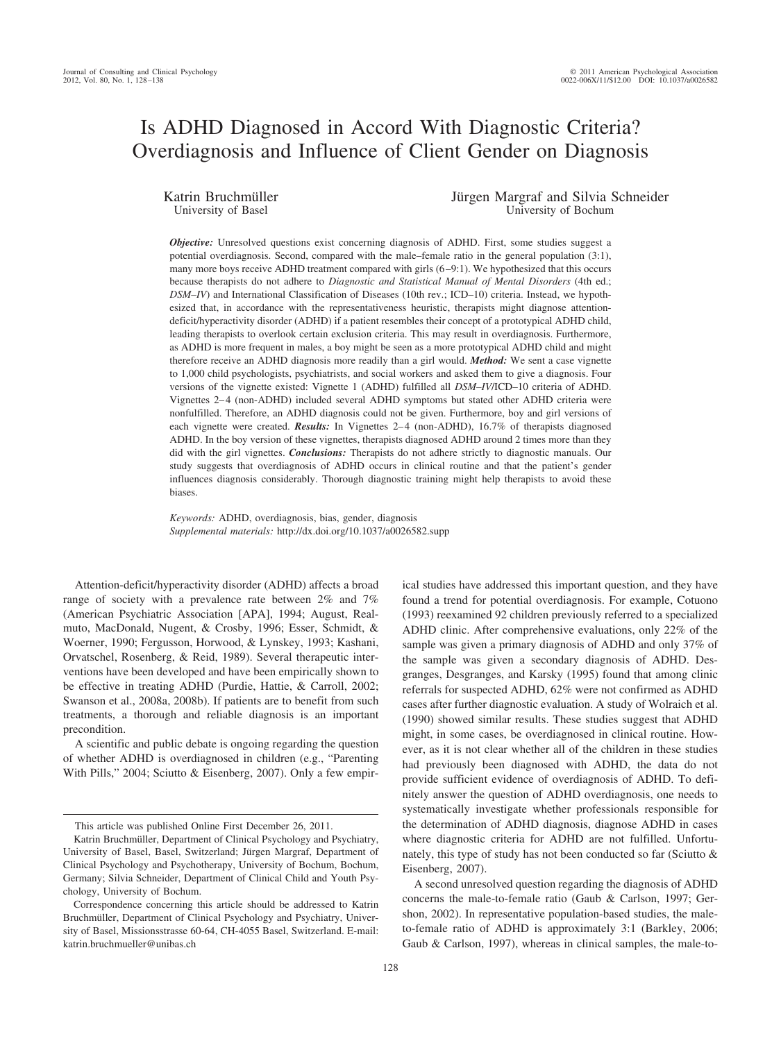# Is ADHD Diagnosed in Accord With Diagnostic Criteria? Overdiagnosis and Influence of Client Gender on Diagnosis

Katrin Bruchmüller University of Basel

Jürgen Margraf and Silvia Schneider University of Bochum

*Objective:* Unresolved questions exist concerning diagnosis of ADHD. First, some studies suggest a potential overdiagnosis. Second, compared with the male–female ratio in the general population (3:1), many more boys receive ADHD treatment compared with girls (6–9:1). We hypothesized that this occurs because therapists do not adhere to *Diagnostic and Statistical Manual of Mental Disorders* (4th ed.; *DSM–IV*) and International Classification of Diseases (10th rev.; ICD–10) criteria. Instead, we hypothesized that, in accordance with the representativeness heuristic, therapists might diagnose attentiondeficit/hyperactivity disorder (ADHD) if a patient resembles their concept of a prototypical ADHD child, leading therapists to overlook certain exclusion criteria. This may result in overdiagnosis. Furthermore, as ADHD is more frequent in males, a boy might be seen as a more prototypical ADHD child and might therefore receive an ADHD diagnosis more readily than a girl would. *Method:* We sent a case vignette to 1,000 child psychologists, psychiatrists, and social workers and asked them to give a diagnosis. Four versions of the vignette existed: Vignette 1 (ADHD) fulfilled all *DSM–IV*/ICD–10 criteria of ADHD. Vignettes 2-4 (non-ADHD) included several ADHD symptoms but stated other ADHD criteria were nonfulfilled. Therefore, an ADHD diagnosis could not be given. Furthermore, boy and girl versions of each vignette were created. **Results:** In Vignettes 2-4 (non-ADHD), 16.7% of therapists diagnosed ADHD. In the boy version of these vignettes, therapists diagnosed ADHD around 2 times more than they did with the girl vignettes. *Conclusions:* Therapists do not adhere strictly to diagnostic manuals. Our study suggests that overdiagnosis of ADHD occurs in clinical routine and that the patient's gender influences diagnosis considerably. Thorough diagnostic training might help therapists to avoid these biases.

*Keywords:* ADHD, overdiagnosis, bias, gender, diagnosis *Supplemental materials:* http://dx.doi.org/10.1037/a0026582.supp

Attention-deficit/hyperactivity disorder (ADHD) affects a broad range of society with a prevalence rate between 2% and 7% (American Psychiatric Association [APA], 1994; August, Realmuto, MacDonald, Nugent, & Crosby, 1996; Esser, Schmidt, & Woerner, 1990; Fergusson, Horwood, & Lynskey, 1993; Kashani, Orvatschel, Rosenberg, & Reid, 1989). Several therapeutic interventions have been developed and have been empirically shown to be effective in treating ADHD (Purdie, Hattie, & Carroll, 2002; Swanson et al., 2008a, 2008b). If patients are to benefit from such treatments, a thorough and reliable diagnosis is an important precondition.

A scientific and public debate is ongoing regarding the question of whether ADHD is overdiagnosed in children (e.g., "Parenting With Pills," 2004; Sciutto & Eisenberg, 2007). Only a few empir-

ical studies have addressed this important question, and they have found a trend for potential overdiagnosis. For example, Cotuono (1993) reexamined 92 children previously referred to a specialized ADHD clinic. After comprehensive evaluations, only 22% of the sample was given a primary diagnosis of ADHD and only 37% of the sample was given a secondary diagnosis of ADHD. Desgranges, Desgranges, and Karsky (1995) found that among clinic referrals for suspected ADHD, 62% were not confirmed as ADHD cases after further diagnostic evaluation. A study of Wolraich et al. (1990) showed similar results. These studies suggest that ADHD might, in some cases, be overdiagnosed in clinical routine. However, as it is not clear whether all of the children in these studies had previously been diagnosed with ADHD, the data do not provide sufficient evidence of overdiagnosis of ADHD. To definitely answer the question of ADHD overdiagnosis, one needs to systematically investigate whether professionals responsible for the determination of ADHD diagnosis, diagnose ADHD in cases where diagnostic criteria for ADHD are not fulfilled. Unfortunately, this type of study has not been conducted so far (Sciutto & Eisenberg, 2007).

A second unresolved question regarding the diagnosis of ADHD concerns the male-to-female ratio (Gaub & Carlson, 1997; Gershon, 2002). In representative population-based studies, the maleto-female ratio of ADHD is approximately 3:1 (Barkley, 2006; Gaub & Carlson, 1997), whereas in clinical samples, the male-to-

This article was published Online First December 26, 2011.

Katrin Bruchmüller, Department of Clinical Psychology and Psychiatry, University of Basel, Basel, Switzerland; Jürgen Margraf, Department of Clinical Psychology and Psychotherapy, University of Bochum, Bochum, Germany; Silvia Schneider, Department of Clinical Child and Youth Psychology, University of Bochum.

Correspondence concerning this article should be addressed to Katrin Bruchmüller, Department of Clinical Psychology and Psychiatry, University of Basel, Missionsstrasse 60-64, CH-4055 Basel, Switzerland. E-mail: katrin.bruchmueller@unibas.ch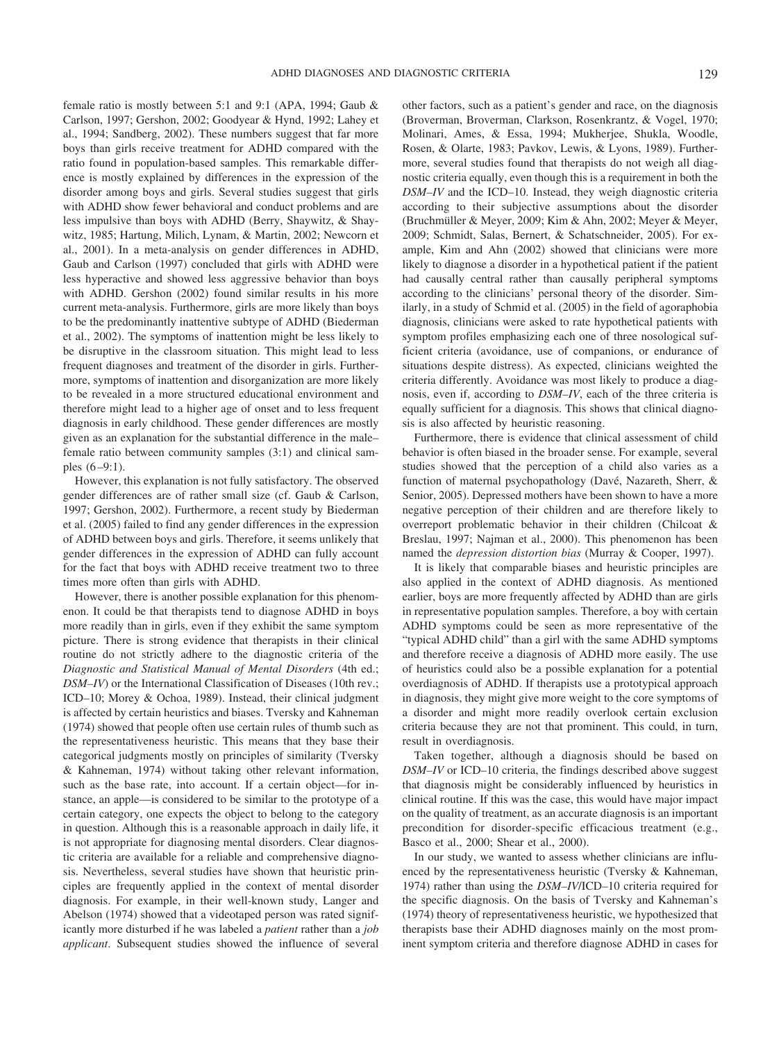female ratio is mostly between 5:1 and 9:1 (APA, 1994; Gaub & Carlson, 1997; Gershon, 2002; Goodyear & Hynd, 1992; Lahey et al., 1994; Sandberg, 2002). These numbers suggest that far more boys than girls receive treatment for ADHD compared with the ratio found in population-based samples. This remarkable difference is mostly explained by differences in the expression of the disorder among boys and girls. Several studies suggest that girls with ADHD show fewer behavioral and conduct problems and are less impulsive than boys with ADHD (Berry, Shaywitz, & Shaywitz, 1985; Hartung, Milich, Lynam, & Martin, 2002; Newcorn et al., 2001). In a meta-analysis on gender differences in ADHD, Gaub and Carlson (1997) concluded that girls with ADHD were less hyperactive and showed less aggressive behavior than boys with ADHD. Gershon (2002) found similar results in his more current meta-analysis. Furthermore, girls are more likely than boys to be the predominantly inattentive subtype of ADHD (Biederman et al., 2002). The symptoms of inattention might be less likely to be disruptive in the classroom situation. This might lead to less frequent diagnoses and treatment of the disorder in girls. Furthermore, symptoms of inattention and disorganization are more likely to be revealed in a more structured educational environment and therefore might lead to a higher age of onset and to less frequent diagnosis in early childhood. These gender differences are mostly given as an explanation for the substantial difference in the male– female ratio between community samples (3:1) and clinical samples (6-9:1).

However, this explanation is not fully satisfactory. The observed gender differences are of rather small size (cf. Gaub & Carlson, 1997; Gershon, 2002). Furthermore, a recent study by Biederman et al. (2005) failed to find any gender differences in the expression of ADHD between boys and girls. Therefore, it seems unlikely that gender differences in the expression of ADHD can fully account for the fact that boys with ADHD receive treatment two to three times more often than girls with ADHD.

However, there is another possible explanation for this phenomenon. It could be that therapists tend to diagnose ADHD in boys more readily than in girls, even if they exhibit the same symptom picture. There is strong evidence that therapists in their clinical routine do not strictly adhere to the diagnostic criteria of the *Diagnostic and Statistical Manual of Mental Disorders* (4th ed.; *DSM–IV*) or the International Classification of Diseases (10th rev.; ICD–10; Morey & Ochoa, 1989). Instead, their clinical judgment is affected by certain heuristics and biases. Tversky and Kahneman (1974) showed that people often use certain rules of thumb such as the representativeness heuristic. This means that they base their categorical judgments mostly on principles of similarity (Tversky & Kahneman, 1974) without taking other relevant information, such as the base rate, into account. If a certain object—for instance, an apple—is considered to be similar to the prototype of a certain category, one expects the object to belong to the category in question. Although this is a reasonable approach in daily life, it is not appropriate for diagnosing mental disorders. Clear diagnostic criteria are available for a reliable and comprehensive diagnosis. Nevertheless, several studies have shown that heuristic principles are frequently applied in the context of mental disorder diagnosis. For example, in their well-known study, Langer and Abelson (1974) showed that a videotaped person was rated significantly more disturbed if he was labeled a *patient* rather than a *job applicant*. Subsequent studies showed the influence of several other factors, such as a patient's gender and race, on the diagnosis (Broverman, Broverman, Clarkson, Rosenkrantz, & Vogel, 1970; Molinari, Ames, & Essa, 1994; Mukherjee, Shukla, Woodle, Rosen, & Olarte, 1983; Pavkov, Lewis, & Lyons, 1989). Furthermore, several studies found that therapists do not weigh all diagnostic criteria equally, even though this is a requirement in both the *DSM–IV* and the ICD–10. Instead, they weigh diagnostic criteria according to their subjective assumptions about the disorder (Bruchmüller & Meyer, 2009; Kim & Ahn, 2002; Meyer & Meyer, 2009; Schmidt, Salas, Bernert, & Schatschneider, 2005). For example, Kim and Ahn (2002) showed that clinicians were more likely to diagnose a disorder in a hypothetical patient if the patient had causally central rather than causally peripheral symptoms according to the clinicians' personal theory of the disorder. Similarly, in a study of Schmid et al. (2005) in the field of agoraphobia diagnosis, clinicians were asked to rate hypothetical patients with symptom profiles emphasizing each one of three nosological sufficient criteria (avoidance, use of companions, or endurance of situations despite distress). As expected, clinicians weighted the criteria differently. Avoidance was most likely to produce a diagnosis, even if, according to *DSM–IV*, each of the three criteria is equally sufficient for a diagnosis. This shows that clinical diagnosis is also affected by heuristic reasoning.

Furthermore, there is evidence that clinical assessment of child behavior is often biased in the broader sense. For example, several studies showed that the perception of a child also varies as a function of maternal psychopathology (Davé, Nazareth, Sherr, & Senior, 2005). Depressed mothers have been shown to have a more negative perception of their children and are therefore likely to overreport problematic behavior in their children (Chilcoat & Breslau, 1997; Najman et al., 2000). This phenomenon has been named the *depression distortion bias* (Murray & Cooper, 1997).

It is likely that comparable biases and heuristic principles are also applied in the context of ADHD diagnosis. As mentioned earlier, boys are more frequently affected by ADHD than are girls in representative population samples. Therefore, a boy with certain ADHD symptoms could be seen as more representative of the "typical ADHD child" than a girl with the same ADHD symptoms and therefore receive a diagnosis of ADHD more easily. The use of heuristics could also be a possible explanation for a potential overdiagnosis of ADHD. If therapists use a prototypical approach in diagnosis, they might give more weight to the core symptoms of a disorder and might more readily overlook certain exclusion criteria because they are not that prominent. This could, in turn, result in overdiagnosis.

Taken together, although a diagnosis should be based on *DSM–IV* or ICD–10 criteria, the findings described above suggest that diagnosis might be considerably influenced by heuristics in clinical routine. If this was the case, this would have major impact on the quality of treatment, as an accurate diagnosis is an important precondition for disorder-specific efficacious treatment (e.g., Basco et al., 2000; Shear et al., 2000).

In our study, we wanted to assess whether clinicians are influenced by the representativeness heuristic (Tversky & Kahneman, 1974) rather than using the *DSM–IV*/ICD–10 criteria required for the specific diagnosis. On the basis of Tversky and Kahneman's (1974) theory of representativeness heuristic, we hypothesized that therapists base their ADHD diagnoses mainly on the most prominent symptom criteria and therefore diagnose ADHD in cases for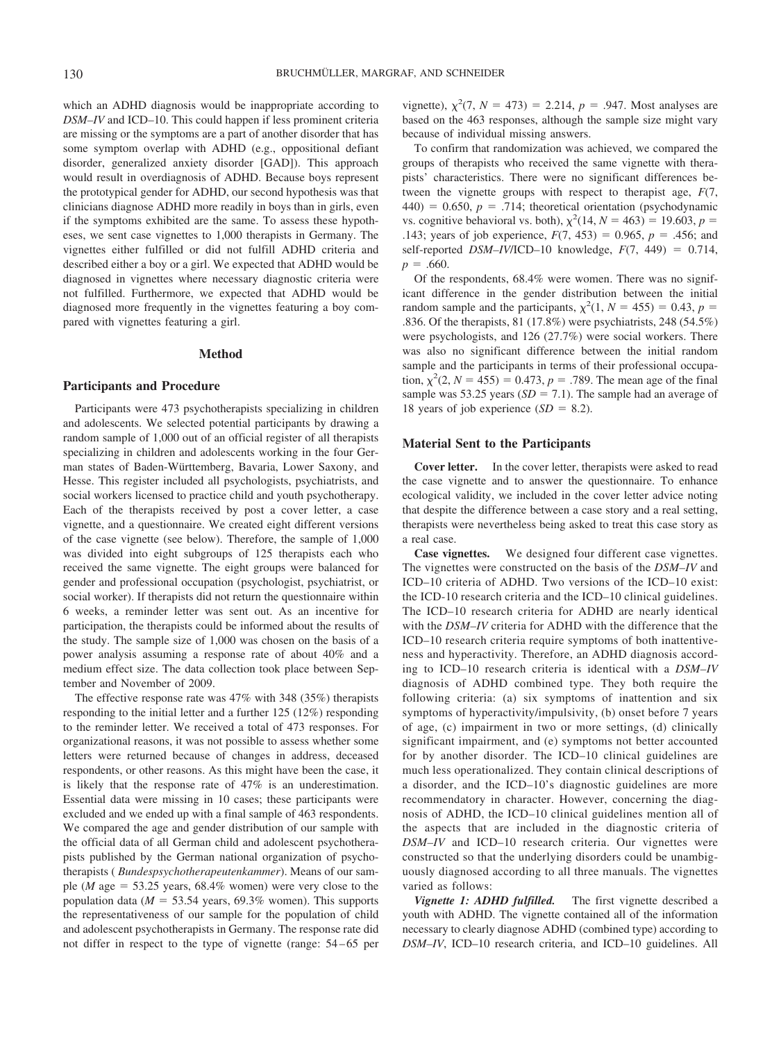which an ADHD diagnosis would be inappropriate according to *DSM–IV* and ICD–10. This could happen if less prominent criteria are missing or the symptoms are a part of another disorder that has some symptom overlap with ADHD (e.g., oppositional defiant disorder, generalized anxiety disorder [GAD]). This approach would result in overdiagnosis of ADHD. Because boys represent the prototypical gender for ADHD, our second hypothesis was that clinicians diagnose ADHD more readily in boys than in girls, even if the symptoms exhibited are the same. To assess these hypotheses, we sent case vignettes to 1,000 therapists in Germany. The vignettes either fulfilled or did not fulfill ADHD criteria and described either a boy or a girl. We expected that ADHD would be diagnosed in vignettes where necessary diagnostic criteria were not fulfilled. Furthermore, we expected that ADHD would be diagnosed more frequently in the vignettes featuring a boy compared with vignettes featuring a girl.

#### **Method**

#### **Participants and Procedure**

Participants were 473 psychotherapists specializing in children and adolescents. We selected potential participants by drawing a random sample of 1,000 out of an official register of all therapists specializing in children and adolescents working in the four German states of Baden-Württemberg, Bavaria, Lower Saxony, and Hesse. This register included all psychologists, psychiatrists, and social workers licensed to practice child and youth psychotherapy. Each of the therapists received by post a cover letter, a case vignette, and a questionnaire. We created eight different versions of the case vignette (see below). Therefore, the sample of 1,000 was divided into eight subgroups of 125 therapists each who received the same vignette. The eight groups were balanced for gender and professional occupation (psychologist, psychiatrist, or social worker). If therapists did not return the questionnaire within 6 weeks, a reminder letter was sent out. As an incentive for participation, the therapists could be informed about the results of the study. The sample size of 1,000 was chosen on the basis of a power analysis assuming a response rate of about 40% and a medium effect size. The data collection took place between September and November of 2009.

The effective response rate was 47% with 348 (35%) therapists responding to the initial letter and a further 125 (12%) responding to the reminder letter. We received a total of 473 responses. For organizational reasons, it was not possible to assess whether some letters were returned because of changes in address, deceased respondents, or other reasons. As this might have been the case, it is likely that the response rate of 47% is an underestimation. Essential data were missing in 10 cases; these participants were excluded and we ended up with a final sample of 463 respondents. We compared the age and gender distribution of our sample with the official data of all German child and adolescent psychotherapists published by the German national organization of psychotherapists ( *Bundespsychotherapeutenkammer*). Means of our sample ( $M$  age  $=$  53.25 years, 68.4% women) were very close to the population data ( $M = 53.54$  years, 69.3% women). This supports the representativeness of our sample for the population of child and adolescent psychotherapists in Germany. The response rate did not differ in respect to the type of vignette (range: 54 – 65 per

vignette),  $\chi^2(7, N = 473) = 2.214$ ,  $p = .947$ . Most analyses are based on the 463 responses, although the sample size might vary because of individual missing answers.

To confirm that randomization was achieved, we compared the groups of therapists who received the same vignette with therapists' characteristics. There were no significant differences between the vignette groups with respect to therapist age, *F*(7,  $440$ ) = 0.650,  $p = .714$ ; theoretical orientation (psychodynamic vs. cognitive behavioral vs. both),  $\chi^2(14, N = 463) = 19.603$ ,  $p =$ .143; years of job experience,  $F(7, 453) = 0.965$ ,  $p = .456$ ; and self-reported  $DSM-IV/ICD-10$  knowledge,  $F(7, 449) = 0.714$ ,  $p = .660$ .

Of the respondents, 68.4% were women. There was no significant difference in the gender distribution between the initial random sample and the participants,  $\chi^2(1, N = 455) = 0.43$ ,  $p =$ .836. Of the therapists, 81 (17.8%) were psychiatrists, 248 (54.5%) were psychologists, and 126 (27.7%) were social workers. There was also no significant difference between the initial random sample and the participants in terms of their professional occupation,  $\chi^2(2, N = 455) = 0.473$ ,  $p = .789$ . The mean age of the final sample was 53.25 years ( $SD = 7.1$ ). The sample had an average of 18 years of job experience  $(SD = 8.2)$ .

# **Material Sent to the Participants**

**Cover letter.** In the cover letter, therapists were asked to read the case vignette and to answer the questionnaire. To enhance ecological validity, we included in the cover letter advice noting that despite the difference between a case story and a real setting, therapists were nevertheless being asked to treat this case story as a real case.

**Case vignettes.** We designed four different case vignettes. The vignettes were constructed on the basis of the *DSM–IV* and ICD–10 criteria of ADHD. Two versions of the ICD–10 exist: the ICD-10 research criteria and the ICD–10 clinical guidelines. The ICD–10 research criteria for ADHD are nearly identical with the *DSM–IV* criteria for ADHD with the difference that the ICD–10 research criteria require symptoms of both inattentiveness and hyperactivity. Therefore, an ADHD diagnosis according to ICD–10 research criteria is identical with a *DSM–IV* diagnosis of ADHD combined type. They both require the following criteria: (a) six symptoms of inattention and six symptoms of hyperactivity/impulsivity, (b) onset before 7 years of age, (c) impairment in two or more settings, (d) clinically significant impairment, and (e) symptoms not better accounted for by another disorder. The ICD–10 clinical guidelines are much less operationalized. They contain clinical descriptions of a disorder, and the ICD–10's diagnostic guidelines are more recommendatory in character. However, concerning the diagnosis of ADHD, the ICD–10 clinical guidelines mention all of the aspects that are included in the diagnostic criteria of *DSM–IV* and ICD–10 research criteria. Our vignettes were constructed so that the underlying disorders could be unambiguously diagnosed according to all three manuals. The vignettes varied as follows:

*Vignette 1: ADHD fulfilled.* The first vignette described a youth with ADHD. The vignette contained all of the information necessary to clearly diagnose ADHD (combined type) according to *DSM–IV*, ICD–10 research criteria, and ICD–10 guidelines. All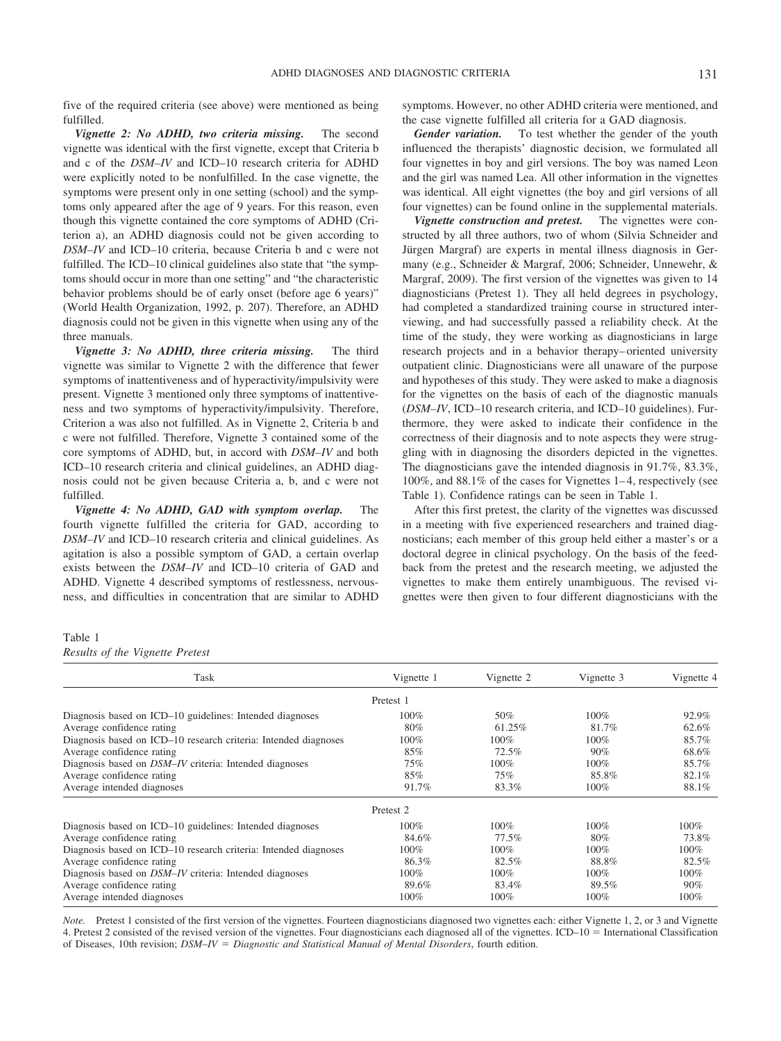five of the required criteria (see above) were mentioned as being fulfilled.

*Vignette 2: No ADHD, two criteria missing.* The second vignette was identical with the first vignette, except that Criteria b and c of the *DSM–IV* and ICD–10 research criteria for ADHD were explicitly noted to be nonfulfilled. In the case vignette, the symptoms were present only in one setting (school) and the symptoms only appeared after the age of 9 years. For this reason, even though this vignette contained the core symptoms of ADHD (Criterion a), an ADHD diagnosis could not be given according to *DSM–IV* and ICD–10 criteria, because Criteria b and c were not fulfilled. The ICD–10 clinical guidelines also state that "the symptoms should occur in more than one setting" and "the characteristic behavior problems should be of early onset (before age 6 years)" (World Health Organization, 1992, p. 207). Therefore, an ADHD diagnosis could not be given in this vignette when using any of the three manuals.

*Vignette 3: No ADHD, three criteria missing.* The third vignette was similar to Vignette 2 with the difference that fewer symptoms of inattentiveness and of hyperactivity/impulsivity were present. Vignette 3 mentioned only three symptoms of inattentiveness and two symptoms of hyperactivity/impulsivity. Therefore, Criterion a was also not fulfilled. As in Vignette 2, Criteria b and c were not fulfilled. Therefore, Vignette 3 contained some of the core symptoms of ADHD, but, in accord with *DSM–IV* and both ICD–10 research criteria and clinical guidelines, an ADHD diagnosis could not be given because Criteria a, b, and c were not fulfilled.

*Vignette 4: No ADHD, GAD with symptom overlap.* The fourth vignette fulfilled the criteria for GAD, according to *DSM–IV* and ICD–10 research criteria and clinical guidelines. As agitation is also a possible symptom of GAD, a certain overlap exists between the *DSM–IV* and ICD–10 criteria of GAD and ADHD. Vignette 4 described symptoms of restlessness, nervousness, and difficulties in concentration that are similar to ADHD

symptoms. However, no other ADHD criteria were mentioned, and the case vignette fulfilled all criteria for a GAD diagnosis.

*Gender variation.* To test whether the gender of the youth influenced the therapists' diagnostic decision, we formulated all four vignettes in boy and girl versions. The boy was named Leon and the girl was named Lea. All other information in the vignettes was identical. All eight vignettes (the boy and girl versions of all four vignettes) can be found online in the supplemental materials.

*Vignette construction and pretest.* The vignettes were constructed by all three authors, two of whom (Silvia Schneider and Jürgen Margraf) are experts in mental illness diagnosis in Germany (e.g., Schneider & Margraf, 2006; Schneider, Unnewehr, & Margraf, 2009). The first version of the vignettes was given to 14 diagnosticians (Pretest 1). They all held degrees in psychology, had completed a standardized training course in structured interviewing, and had successfully passed a reliability check. At the time of the study, they were working as diagnosticians in large research projects and in a behavior therapy– oriented university outpatient clinic. Diagnosticians were all unaware of the purpose and hypotheses of this study. They were asked to make a diagnosis for the vignettes on the basis of each of the diagnostic manuals (*DSM–IV*, ICD–10 research criteria, and ICD–10 guidelines). Furthermore, they were asked to indicate their confidence in the correctness of their diagnosis and to note aspects they were struggling with in diagnosing the disorders depicted in the vignettes. The diagnosticians gave the intended diagnosis in 91.7%, 83.3%, 100%, and 88.1% of the cases for Vignettes 1– 4, respectively (see Table 1). Confidence ratings can be seen in Table 1.

After this first pretest, the clarity of the vignettes was discussed in a meeting with five experienced researchers and trained diagnosticians; each member of this group held either a master's or a doctoral degree in clinical psychology. On the basis of the feedback from the pretest and the research meeting, we adjusted the vignettes to make them entirely unambiguous. The revised vignettes were then given to four different diagnosticians with the

# Table 1 *Results of the Vignette Pretest*

| Task                                                                                         | Vignette 1     | Vignette 2<br>Vignette 3 |                  | Vignette 4     |  |
|----------------------------------------------------------------------------------------------|----------------|--------------------------|------------------|----------------|--|
|                                                                                              | Pretest 1      |                          |                  |                |  |
| Diagnosis based on ICD–10 guidelines: Intended diagnoses                                     | $100\%$        | 50%                      | $100\%$          | 92.9%          |  |
| Average confidence rating<br>Diagnosis based on ICD–10 research criteria: Intended diagnoses | 80%<br>$100\%$ | 61.25%<br>100%           | 81.7%<br>$100\%$ | 62.6%<br>85.7% |  |
| Average confidence rating                                                                    | 85%            | 72.5%                    | 90%              | 68.6%          |  |
| Diagnosis based on <i>DSM-IV</i> criteria: Intended diagnoses                                | 75%            | 100%                     | $100\%$          | 85.7%          |  |
| Average confidence rating<br>Average intended diagnoses                                      | 85%<br>91.7%   | 75%<br>83.3%             | 85.8%<br>$100\%$ | 82.1%<br>88.1% |  |
|                                                                                              | Pretest 2      |                          |                  |                |  |
| Diagnosis based on ICD–10 guidelines: Intended diagnoses                                     | $100\%$        | $100\%$                  | $100\%$          | $100\%$        |  |
| Average confidence rating                                                                    | 84.6%          | 77.5%                    | 80%              | 73.8%          |  |
| Diagnosis based on ICD-10 research criteria: Intended diagnoses                              | $100\%$        | $100\%$                  | $100\%$          | $100\%$        |  |
| Average confidence rating                                                                    | 86.3%          | 82.5%                    | 88.8%            | 82.5%          |  |
| Diagnosis based on <i>DSM-IV</i> criteria: Intended diagnoses                                | $100\%$        | 100%                     | $100\%$          | 100%           |  |
| Average confidence rating                                                                    | 89.6%          | 83.4%                    | 89.5%            | 90%            |  |
| Average intended diagnoses                                                                   | $100\%$        | $100\%$                  | $100\%$          | 100%           |  |

*Note.* Pretest 1 consisted of the first version of the vignettes. Fourteen diagnosticians diagnosed two vignettes each: either Vignette 1, 2, or 3 and Vignette 4. Pretest 2 consisted of the revised version of the vignettes. Four diagnosticians each diagnosed all of the vignettes. ICD–10 = International Classification of Diseases, 10th revision; *DSM–IV* ! *Diagnostic and Statistical Manual of Mental Disorders*, fourth edition.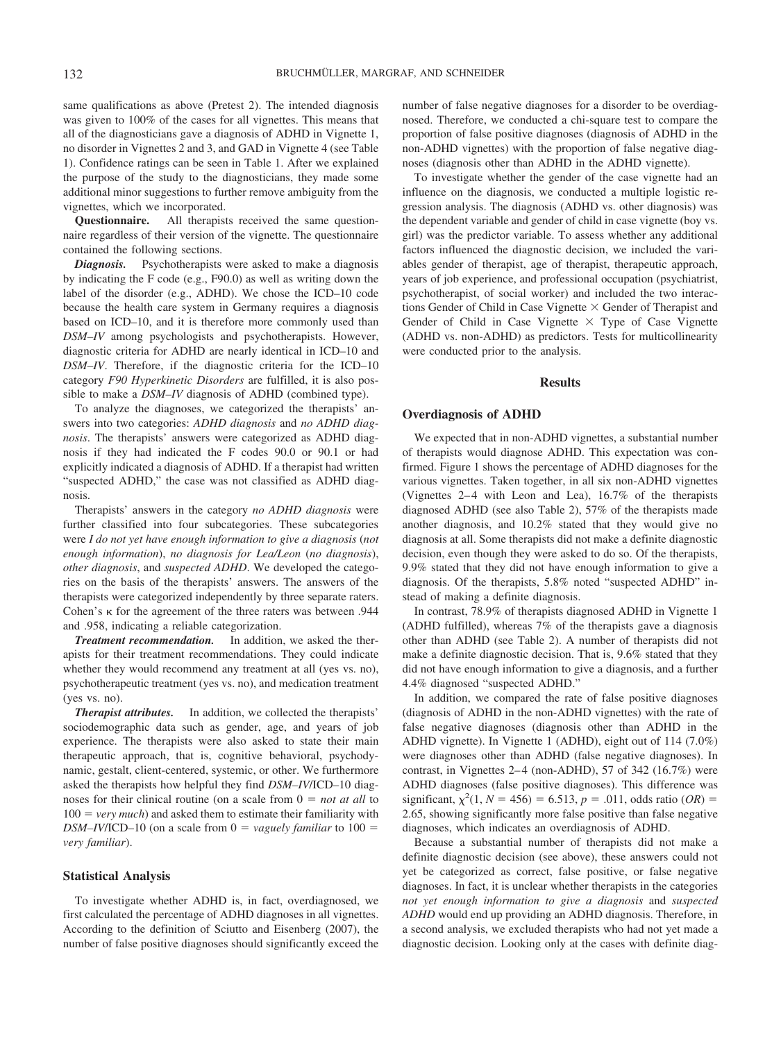same qualifications as above (Pretest 2). The intended diagnosis was given to 100% of the cases for all vignettes. This means that all of the diagnosticians gave a diagnosis of ADHD in Vignette 1, no disorder in Vignettes 2 and 3, and GAD in Vignette 4 (see Table 1). Confidence ratings can be seen in Table 1. After we explained the purpose of the study to the diagnosticians, they made some additional minor suggestions to further remove ambiguity from the vignettes, which we incorporated.

**Questionnaire.** All therapists received the same questionnaire regardless of their version of the vignette. The questionnaire contained the following sections.

*Diagnosis.* Psychotherapists were asked to make a diagnosis by indicating the F code (e.g., F90.0) as well as writing down the label of the disorder (e.g., ADHD). We chose the ICD–10 code because the health care system in Germany requires a diagnosis based on ICD–10, and it is therefore more commonly used than *DSM–IV* among psychologists and psychotherapists. However, diagnostic criteria for ADHD are nearly identical in ICD–10 and *DSM–IV*. Therefore, if the diagnostic criteria for the ICD–10 category *F90 Hyperkinetic Disorders* are fulfilled, it is also possible to make a *DSM–IV* diagnosis of ADHD (combined type).

To analyze the diagnoses, we categorized the therapists' answers into two categories: *ADHD diagnosis* and *no ADHD diagnosis*. The therapists' answers were categorized as ADHD diagnosis if they had indicated the F codes 90.0 or 90.1 or had explicitly indicated a diagnosis of ADHD. If a therapist had written "suspected ADHD," the case was not classified as ADHD diagnosis.

Therapists' answers in the category *no ADHD diagnosis* were further classified into four subcategories. These subcategories were *I do not yet have enough information to give a diagnosis* (*not enough information*), *no diagnosis for Lea/Leon* (*no diagnosis*), *other diagnosis*, and *suspected ADHD*. We developed the categories on the basis of the therapists' answers. The answers of the therapists were categorized independently by three separate raters. Cohen's  $\kappa$  for the agreement of the three raters was between .944 and .958, indicating a reliable categorization.

*Treatment recommendation.* In addition, we asked the therapists for their treatment recommendations. They could indicate whether they would recommend any treatment at all (yes vs. no), psychotherapeutic treatment (yes vs. no), and medication treatment (yes vs. no).

*Therapist attributes.* In addition, we collected the therapists' sociodemographic data such as gender, age, and years of job experience. The therapists were also asked to state their main therapeutic approach, that is, cognitive behavioral, psychodynamic, gestalt, client-centered, systemic, or other. We furthermore asked the therapists how helpful they find *DSM–IV*/ICD–10 diagnoses for their clinical routine (on a scale from  $0 = not at all$  to  $100 = \text{very much}$  and asked them to estimate their familiarity with *DSM–IV*/ICD–10 (on a scale from  $0 = \text{vaguely familiar to } 100 =$ *very familiar*).

## **Statistical Analysis**

To investigate whether ADHD is, in fact, overdiagnosed, we first calculated the percentage of ADHD diagnoses in all vignettes. According to the definition of Sciutto and Eisenberg (2007), the number of false positive diagnoses should significantly exceed the number of false negative diagnoses for a disorder to be overdiagnosed. Therefore, we conducted a chi-square test to compare the proportion of false positive diagnoses (diagnosis of ADHD in the non-ADHD vignettes) with the proportion of false negative diagnoses (diagnosis other than ADHD in the ADHD vignette).

To investigate whether the gender of the case vignette had an influence on the diagnosis, we conducted a multiple logistic regression analysis. The diagnosis (ADHD vs. other diagnosis) was the dependent variable and gender of child in case vignette (boy vs. girl) was the predictor variable. To assess whether any additional factors influenced the diagnostic decision, we included the variables gender of therapist, age of therapist, therapeutic approach, years of job experience, and professional occupation (psychiatrist, psychotherapist, of social worker) and included the two interactions Gender of Child in Case Vignette  $\times$  Gender of Therapist and Gender of Child in Case Vignette  $\times$  Type of Case Vignette (ADHD vs. non-ADHD) as predictors. Tests for multicollinearity were conducted prior to the analysis.

## **Results**

#### **Overdiagnosis of ADHD**

We expected that in non-ADHD vignettes, a substantial number of therapists would diagnose ADHD. This expectation was confirmed. Figure 1 shows the percentage of ADHD diagnoses for the various vignettes. Taken together, in all six non-ADHD vignettes (Vignettes  $2-4$  with Leon and Lea),  $16.7\%$  of the therapists diagnosed ADHD (see also Table 2), 57% of the therapists made another diagnosis, and 10.2% stated that they would give no diagnosis at all. Some therapists did not make a definite diagnostic decision, even though they were asked to do so. Of the therapists, 9.9% stated that they did not have enough information to give a diagnosis. Of the therapists, 5.8% noted "suspected ADHD" instead of making a definite diagnosis.

In contrast, 78.9% of therapists diagnosed ADHD in Vignette 1 (ADHD fulfilled), whereas 7% of the therapists gave a diagnosis other than ADHD (see Table 2). A number of therapists did not make a definite diagnostic decision. That is, 9.6% stated that they did not have enough information to give a diagnosis, and a further 4.4% diagnosed "suspected ADHD."

In addition, we compared the rate of false positive diagnoses (diagnosis of ADHD in the non-ADHD vignettes) with the rate of false negative diagnoses (diagnosis other than ADHD in the ADHD vignette). In Vignette 1 (ADHD), eight out of 114 (7.0%) were diagnoses other than ADHD (false negative diagnoses). In contrast, in Vignettes  $2-4$  (non-ADHD), 57 of 342 (16.7%) were ADHD diagnoses (false positive diagnoses). This difference was significant,  $\chi^2(1, N = 456) = 6.513$ ,  $p = .011$ , odds ratio (*OR*) = 2.65, showing significantly more false positive than false negative diagnoses, which indicates an overdiagnosis of ADHD.

Because a substantial number of therapists did not make a definite diagnostic decision (see above), these answers could not yet be categorized as correct, false positive, or false negative diagnoses. In fact, it is unclear whether therapists in the categories *not yet enough information to give a diagnosis* and *suspected ADHD* would end up providing an ADHD diagnosis. Therefore, in a second analysis, we excluded therapists who had not yet made a diagnostic decision. Looking only at the cases with definite diag-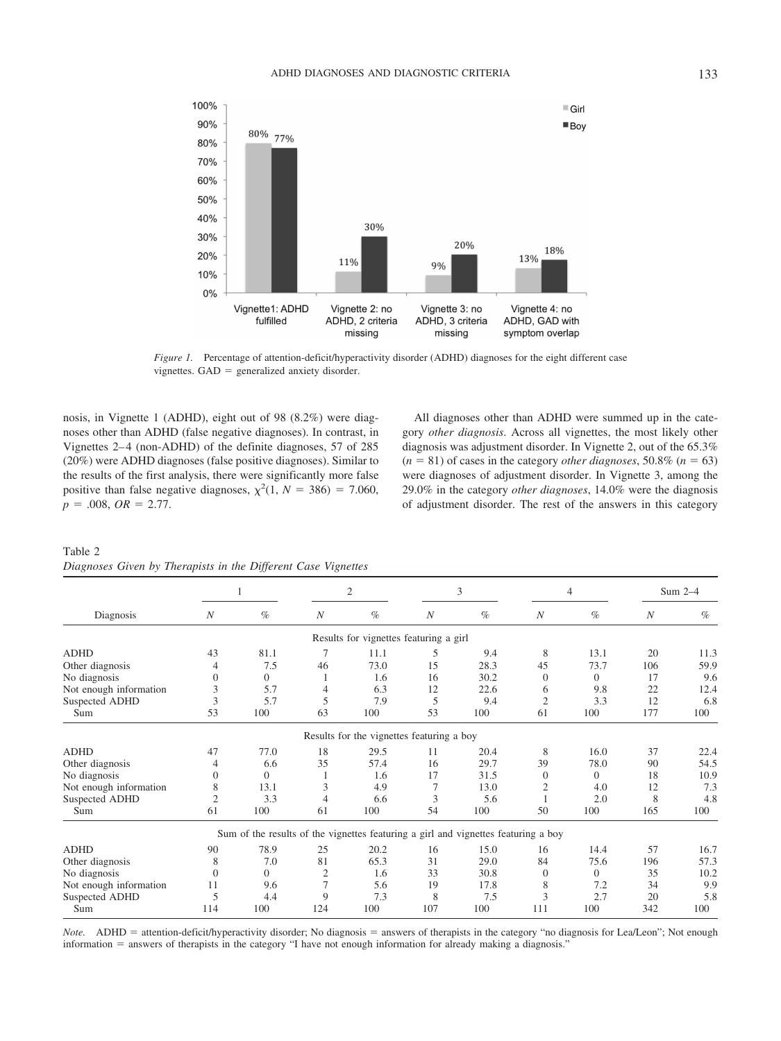

*Figure 1.* Percentage of attention-deficit/hyperactivity disorder (ADHD) diagnoses for the eight different case vignettes.  $GAD =$  generalized anxiety disorder.

nosis, in Vignette 1 (ADHD), eight out of 98 (8.2%) were diagnoses other than ADHD (false negative diagnoses). In contrast, in Vignettes 2–4 (non-ADHD) of the definite diagnoses, 57 of 285 (20%) were ADHD diagnoses (false positive diagnoses). Similar to the results of the first analysis, there were significantly more false positive than false negative diagnoses,  $\chi^2(1, N = 386) = 7.060$ ,  $p = .008$ ,  $OR = 2.77$ .

All diagnoses other than ADHD were summed up in the category *other diagnosis*. Across all vignettes, the most likely other diagnosis was adjustment disorder. In Vignette 2, out of the 65.3%  $(n = 81)$  of cases in the category *other diagnoses*, 50.8% ( $n = 63$ ) were diagnoses of adjustment disorder. In Vignette 3, among the 29.0% in the category *other diagnoses*, 14.0% were the diagnosis of adjustment disorder. The rest of the answers in this category

Table 2 *Diagnoses Given by Therapists in the Different Case Vignettes*

|                        |              |                |                  | $\mathfrak{2}$                            |                | 3                                                                                  |                  | 4              |     | Sum $2-4$ |
|------------------------|--------------|----------------|------------------|-------------------------------------------|----------------|------------------------------------------------------------------------------------|------------------|----------------|-----|-----------|
| Diagnosis              | $\mathcal N$ | $\%$           | $\boldsymbol{N}$ | $\%$                                      | $\overline{N}$ | $\%$                                                                               | $\boldsymbol{N}$ | $\%$           | N   | $\%$      |
|                        |              |                |                  | Results for vignettes featuring a girl    |                |                                                                                    |                  |                |     |           |
| <b>ADHD</b>            | 43           | 81.1           |                  | 11.1                                      | 5              | 9.4                                                                                | 8                | 13.1           | 20  | 11.3      |
| Other diagnosis        | 4            | 7.5            | 46               | 73.0                                      | 15             | 28.3                                                                               | 45               | 73.7           | 106 | 59.9      |
| No diagnosis           | $\left($     | $\Omega$       |                  | 1.6                                       | 16             | 30.2                                                                               | $\Omega$         | $\Omega$       | 17  | 9.6       |
| Not enough information | 3            | 5.7            | 4                | 6.3                                       | 12             | 22.6                                                                               | 6                | 9.8            | 22  | 12.4      |
| Suspected ADHD         | 3            | 5.7            | 5                | 7.9                                       | 5              | 9.4                                                                                | $\mathfrak{2}$   | 3.3            | 12  | 6.8       |
| Sum                    | 53           | 100            | 63               | 100                                       | 53             | 100                                                                                | 61               | 100            | 177 | 100       |
|                        |              |                |                  | Results for the vignettes featuring a boy |                |                                                                                    |                  |                |     |           |
| <b>ADHD</b>            | 47           | 77.0           | 18               | 29.5                                      | 11             | 20.4                                                                               | 8                | 16.0           | 37  | 22.4      |
| Other diagnosis        | 4            | 6.6            | 35               | 57.4                                      | 16             | 29.7                                                                               | 39               | 78.0           | 90  | 54.5      |
| No diagnosis           | $\Omega$     | $\Omega$       |                  | 1.6                                       | 17             | 31.5                                                                               | $\Omega$         | $\Omega$       | 18  | 10.9      |
| Not enough information | 8            | 13.1           | 3                | 4.9                                       |                | 13.0                                                                               | 2                | 4.0            | 12  | 7.3       |
| Suspected ADHD         | 2            | 3.3            | 4                | 6.6                                       | 3              | 5.6                                                                                |                  | 2.0            | 8   | 4.8       |
| Sum                    | 61           | 100            | 61               | 100                                       | 54             | 100                                                                                | 50               | 100            | 165 | 100       |
|                        |              |                |                  |                                           |                | Sum of the results of the vignettes featuring a girl and vignettes featuring a boy |                  |                |     |           |
| <b>ADHD</b>            | 90           | 78.9           | 25               | 20.2                                      | 16             | 15.0                                                                               | 16               | 14.4           | 57  | 16.7      |
| Other diagnosis        | 8            | 7.0            | 81               | 65.3                                      | 31             | 29.0                                                                               | 84               | 75.6           | 196 | 57.3      |
| No diagnosis           | $\Omega$     | $\overline{0}$ | $\mathfrak{2}$   | 1.6                                       | 33             | 30.8                                                                               | $\mathbf{0}$     | $\overline{0}$ | 35  | 10.2      |
| Not enough information | 11           | 9.6            |                  | 5.6                                       | 19             | 17.8                                                                               | 8                | 7.2            | 34  | 9.9       |
| Suspected ADHD         | 5            | 4.4            | 9                | 7.3                                       | 8              | 7.5                                                                                | 3                | 2.7            | 20  | 5.8       |
| Sum                    | 114          | 100            | 124              | 100                                       | 107            | 100                                                                                | 111              | 100            | 342 | 100       |

*Note.* ADHD = attention-deficit/hyperactivity disorder; No diagnosis = answers of therapists in the category "no diagnosis for Lea/Leon"; Not enough information = answers of therapists in the category "I have not enough information for already making a diagnosis."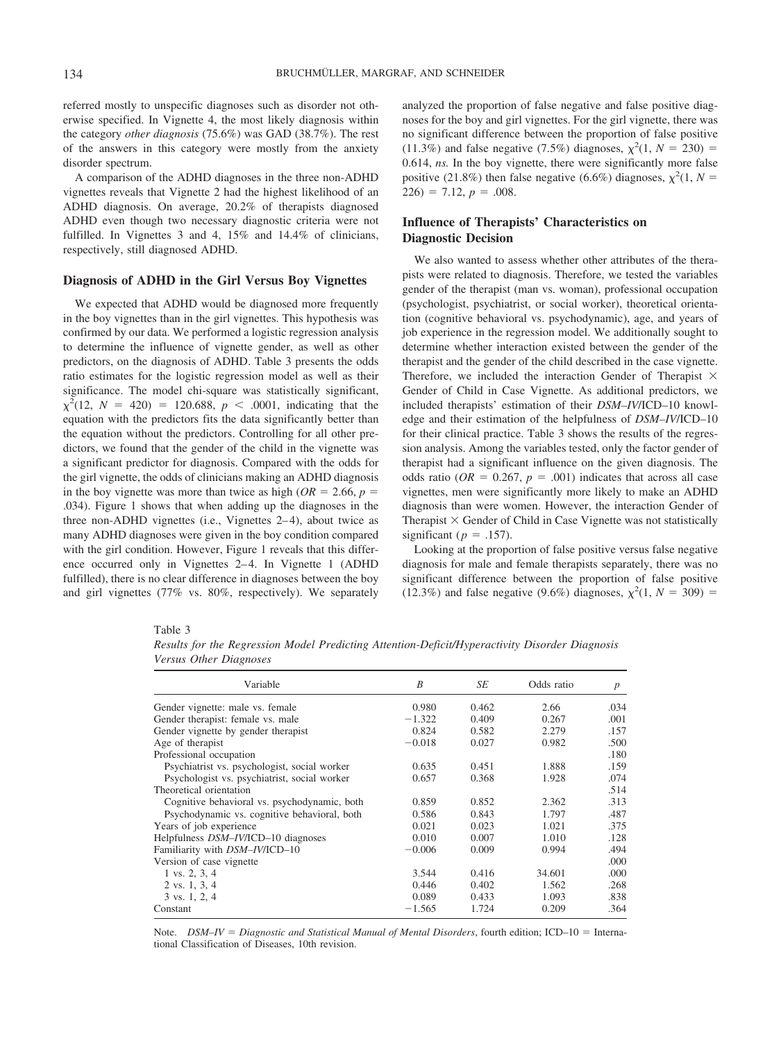referred mostly to unspecific diagnoses such as disorder not otherwise specified. In Vignette 4, the most likely diagnosis within the category *other diagnosis* (75.6%) was GAD (38.7%). The rest of the answers in this category were mostly from the anxiety disorder spectrum.

A comparison of the ADHD diagnoses in the three non-ADHD vignettes reveals that Vignette 2 had the highest likelihood of an ADHD diagnosis. On average, 20.2% of therapists diagnosed ADHD even though two necessary diagnostic criteria were not fulfilled. In Vignettes 3 and 4, 15% and 14.4% of clinicians, respectively, still diagnosed ADHD.

# **Diagnosis of ADHD in the Girl Versus Boy Vignettes**

We expected that ADHD would be diagnosed more frequently in the boy vignettes than in the girl vignettes. This hypothesis was confirmed by our data. We performed a logistic regression analysis to determine the influence of vignette gender, as well as other predictors, on the diagnosis of ADHD. Table 3 presents the odds ratio estimates for the logistic regression model as well as their significance. The model chi-square was statistically significant,  $\chi^2(12, N = 420) = 120.688, p < .0001$ , indicating that the equation with the predictors fits the data significantly better than the equation without the predictors. Controlling for all other predictors, we found that the gender of the child in the vignette was a significant predictor for diagnosis. Compared with the odds for the girl vignette, the odds of clinicians making an ADHD diagnosis in the boy vignette was more than twice as high ( $OR = 2.66$ ,  $p =$ .034). Figure 1 shows that when adding up the diagnoses in the three non-ADHD vignettes (i.e., Vignettes 2-4), about twice as many ADHD diagnoses were given in the boy condition compared with the girl condition. However, Figure 1 reveals that this difference occurred only in Vignettes 2–4. In Vignette 1 (ADHD fulfilled), there is no clear difference in diagnoses between the boy and girl vignettes (77% vs. 80%, respectively). We separately

analyzed the proportion of false negative and false positive diagnoses for the boy and girl vignettes. For the girl vignette, there was no significant difference between the proportion of false positive (11.3%) and false negative (7.5%) diagnoses,  $\chi^2(1, N = 230)$  = 0.614, *ns.* In the boy vignette, there were significantly more false positive (21.8%) then false negative (6.6%) diagnoses,  $\chi^2(1, N =$  $226$ ) = 7.12,  $p = .008$ .

# **Influence of Therapists' Characteristics on Diagnostic Decision**

We also wanted to assess whether other attributes of the therapists were related to diagnosis. Therefore, we tested the variables gender of the therapist (man vs. woman), professional occupation (psychologist, psychiatrist, or social worker), theoretical orientation (cognitive behavioral vs. psychodynamic), age, and years of job experience in the regression model. We additionally sought to determine whether interaction existed between the gender of the therapist and the gender of the child described in the case vignette. Therefore, we included the interaction Gender of Therapist  $\times$ Gender of Child in Case Vignette. As additional predictors, we included therapists' estimation of their *DSM–IV*/ICD–10 knowledge and their estimation of the helpfulness of *DSM–IV*/ICD–10 for their clinical practice. Table 3 shows the results of the regression analysis. Among the variables tested, only the factor gender of therapist had a significant influence on the given diagnosis. The odds ratio ( $OR = 0.267$ ,  $p = .001$ ) indicates that across all case vignettes, men were significantly more likely to make an ADHD diagnosis than were women. However, the interaction Gender of Therapist  $\times$  Gender of Child in Case Vignette was not statistically significant ( $p = .157$ ).

Looking at the proportion of false positive versus false negative diagnosis for male and female therapists separately, there was no significant difference between the proportion of false positive (12.3%) and false negative (9.6%) diagnoses,  $\chi^2(1, N = 309)$  =

Table 3

*Results for the Regression Model Predicting Attention-Deficit/Hyperactivity Disorder Diagnosis Versus Other Diagnoses*

| Variable                                     | B        | SЕ    | Odds ratio | $\boldsymbol{p}$ |
|----------------------------------------------|----------|-------|------------|------------------|
| Gender vignette: male vs. female             | 0.980    | 0.462 | 2.66       | .034             |
| Gender therapist: female vs. male            | $-1.322$ | 0.409 | 0.267      | .001             |
| Gender vignette by gender therapist          | 0.824    | 0.582 | 2.279      | .157             |
| Age of therapist                             | $-0.018$ | 0.027 | 0.982      | .500             |
| Professional occupation                      |          |       |            | .180             |
| Psychiatrist vs. psychologist, social worker | 0.635    | 0.451 | 1.888      | .159             |
| Psychologist vs. psychiatrist, social worker | 0.657    | 0.368 | 1.928      | .074             |
| Theoretical orientation                      |          |       |            | .514             |
| Cognitive behavioral vs. psychodynamic, both | 0.859    | 0.852 | 2.362      | .313             |
| Psychodynamic vs. cognitive behavioral, both | 0.586    | 0.843 | 1.797      | .487             |
| Years of job experience                      | 0.021    | 0.023 | 1.021      | .375             |
| Helpfulness DSM-IV/ICD-10 diagnoses          | 0.010    | 0.007 | 1.010      | .128             |
| Familiarity with DSM-IV/ICD-10               | $-0.006$ | 0.009 | 0.994      | .494             |
| Version of case vignette                     |          |       |            | .000             |
| $1 \text{ vs. } 2, 3, 4$                     | 3.544    | 0.416 | 34.601     | .000             |
| $2 \text{ vs. } 1, 3, 4$                     | 0.446    | 0.402 | 1.562      | .268             |
| 3 vs. 1, 2, 4                                | 0.089    | 0.433 | 1.093      | .838             |
| Constant                                     | $-1.565$ | 1.724 | 0.209      | .364             |

Note. *DSM–IV* = *Diagnostic and Statistical Manual of Mental Disorders*, fourth edition; ICD–10 = International Classification of Diseases, 10th revision.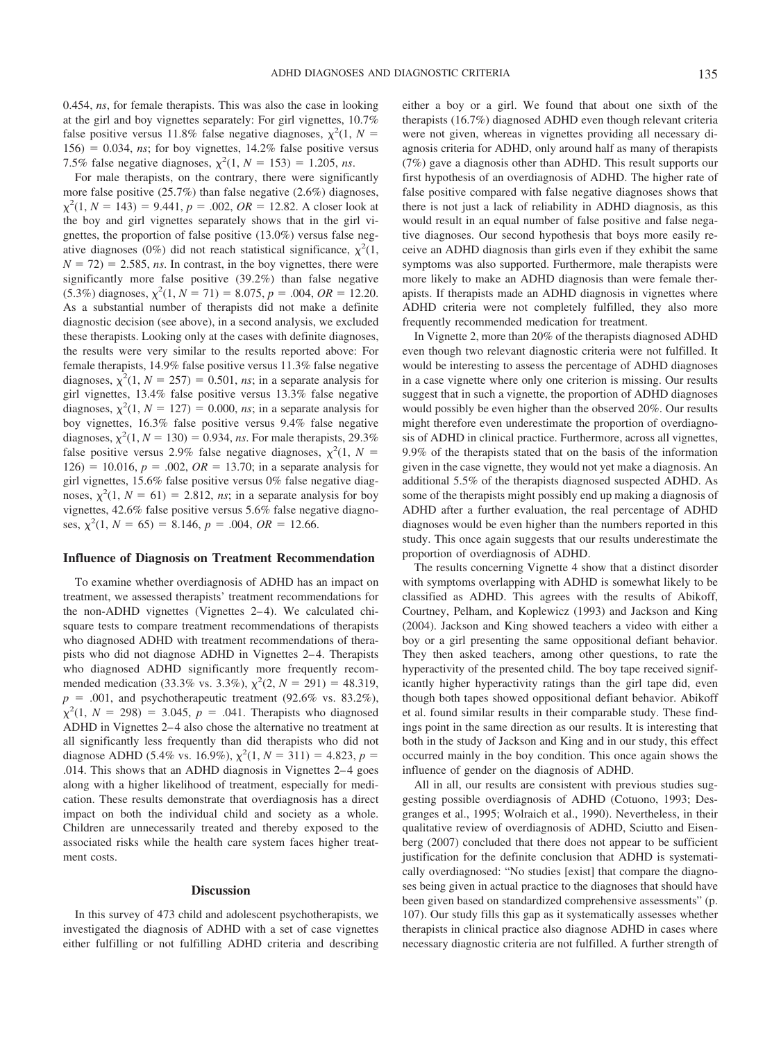0.454, *ns*, for female therapists. This was also the case in looking at the girl and boy vignettes separately: For girl vignettes, 10.7% false positive versus 11.8% false negative diagnoses,  $\chi^2(1, N =$  $156$ ) = 0.034, *ns*; for boy vignettes,  $14.2\%$  false positive versus 7.5% false negative diagnoses,  $\chi^2(1, N = 153) = 1.205$ , *ns*.

For male therapists, on the contrary, there were significantly more false positive (25.7%) than false negative (2.6%) diagnoses,  $\chi^2(1, N = 143) = 9.441, p = .002, OR = 12.82$ . A closer look at the boy and girl vignettes separately shows that in the girl vignettes, the proportion of false positive (13.0%) versus false negative diagnoses (0%) did not reach statistical significance,  $\chi^2(1)$ ,  $N = 72$ ) = 2.585, *ns*. In contrast, in the boy vignettes, there were significantly more false positive (39.2%) than false negative  $(5.3\%)$  diagnoses,  $\chi^2(1, N = 71) = 8.075, p = .004, OR = 12.20.$ As a substantial number of therapists did not make a definite diagnostic decision (see above), in a second analysis, we excluded these therapists. Looking only at the cases with definite diagnoses, the results were very similar to the results reported above: For female therapists, 14.9% false positive versus 11.3% false negative diagnoses,  $\chi^2(1, N = 257) = 0.501$ , *ns*; in a separate analysis for girl vignettes, 13.4% false positive versus 13.3% false negative diagnoses,  $\chi^2(1, N = 127) = 0.000$ , *ns*; in a separate analysis for boy vignettes, 16.3% false positive versus 9.4% false negative diagnoses,  $\chi^2(1, N = 130) = 0.934$ , *ns*. For male therapists, 29.3% false positive versus 2.9% false negative diagnoses,  $\chi^2(1, N =$  $126$ ) = 10.016,  $p = .002$ ,  $OR = 13.70$ ; in a separate analysis for girl vignettes, 15.6% false positive versus 0% false negative diagnoses,  $\chi^2(1, N = 61) = 2.812$ , *ns*; in a separate analysis for boy vignettes, 42.6% false positive versus 5.6% false negative diagnoses,  $\chi^2(1, N = 65) = 8.146$ ,  $p = .004$ ,  $OR = 12.66$ .

## **Influence of Diagnosis on Treatment Recommendation**

To examine whether overdiagnosis of ADHD has an impact on treatment, we assessed therapists' treatment recommendations for the non-ADHD vignettes (Vignettes 2-4). We calculated chisquare tests to compare treatment recommendations of therapists who diagnosed ADHD with treatment recommendations of therapists who did not diagnose ADHD in Vignettes 2– 4. Therapists who diagnosed ADHD significantly more frequently recommended medication (33.3% vs. 3.3%),  $\chi^2(2, N = 291) = 48.319$ ,  $p = .001$ , and psychotherapeutic treatment (92.6% vs. 83.2%),  $\chi^2(1, N = 298) = 3.045, p = .041$ . Therapists who diagnosed ADHD in Vignettes 2– 4 also chose the alternative no treatment at all significantly less frequently than did therapists who did not diagnose ADHD (5.4% vs. 16.9%),  $\chi^2(1, N = 311) = 4.823$ ,  $p =$ .014. This shows that an ADHD diagnosis in Vignettes 2–4 goes along with a higher likelihood of treatment, especially for medication. These results demonstrate that overdiagnosis has a direct impact on both the individual child and society as a whole. Children are unnecessarily treated and thereby exposed to the associated risks while the health care system faces higher treatment costs.

#### **Discussion**

In this survey of 473 child and adolescent psychotherapists, we investigated the diagnosis of ADHD with a set of case vignettes either fulfilling or not fulfilling ADHD criteria and describing either a boy or a girl. We found that about one sixth of the therapists (16.7%) diagnosed ADHD even though relevant criteria were not given, whereas in vignettes providing all necessary diagnosis criteria for ADHD, only around half as many of therapists (7%) gave a diagnosis other than ADHD. This result supports our first hypothesis of an overdiagnosis of ADHD. The higher rate of false positive compared with false negative diagnoses shows that there is not just a lack of reliability in ADHD diagnosis, as this would result in an equal number of false positive and false negative diagnoses. Our second hypothesis that boys more easily receive an ADHD diagnosis than girls even if they exhibit the same symptoms was also supported. Furthermore, male therapists were more likely to make an ADHD diagnosis than were female therapists. If therapists made an ADHD diagnosis in vignettes where ADHD criteria were not completely fulfilled, they also more frequently recommended medication for treatment.

In Vignette 2, more than 20% of the therapists diagnosed ADHD even though two relevant diagnostic criteria were not fulfilled. It would be interesting to assess the percentage of ADHD diagnoses in a case vignette where only one criterion is missing. Our results suggest that in such a vignette, the proportion of ADHD diagnoses would possibly be even higher than the observed 20%. Our results might therefore even underestimate the proportion of overdiagnosis of ADHD in clinical practice. Furthermore, across all vignettes, 9.9% of the therapists stated that on the basis of the information given in the case vignette, they would not yet make a diagnosis. An additional 5.5% of the therapists diagnosed suspected ADHD. As some of the therapists might possibly end up making a diagnosis of ADHD after a further evaluation, the real percentage of ADHD diagnoses would be even higher than the numbers reported in this study. This once again suggests that our results underestimate the proportion of overdiagnosis of ADHD.

The results concerning Vignette 4 show that a distinct disorder with symptoms overlapping with ADHD is somewhat likely to be classified as ADHD. This agrees with the results of Abikoff, Courtney, Pelham, and Koplewicz (1993) and Jackson and King (2004). Jackson and King showed teachers a video with either a boy or a girl presenting the same oppositional defiant behavior. They then asked teachers, among other questions, to rate the hyperactivity of the presented child. The boy tape received significantly higher hyperactivity ratings than the girl tape did, even though both tapes showed oppositional defiant behavior. Abikoff et al. found similar results in their comparable study. These findings point in the same direction as our results. It is interesting that both in the study of Jackson and King and in our study, this effect occurred mainly in the boy condition. This once again shows the influence of gender on the diagnosis of ADHD.

All in all, our results are consistent with previous studies suggesting possible overdiagnosis of ADHD (Cotuono, 1993; Desgranges et al., 1995; Wolraich et al., 1990). Nevertheless, in their qualitative review of overdiagnosis of ADHD, Sciutto and Eisenberg (2007) concluded that there does not appear to be sufficient justification for the definite conclusion that ADHD is systematically overdiagnosed: "No studies [exist] that compare the diagnoses being given in actual practice to the diagnoses that should have been given based on standardized comprehensive assessments" (p. 107). Our study fills this gap as it systematically assesses whether therapists in clinical practice also diagnose ADHD in cases where necessary diagnostic criteria are not fulfilled. A further strength of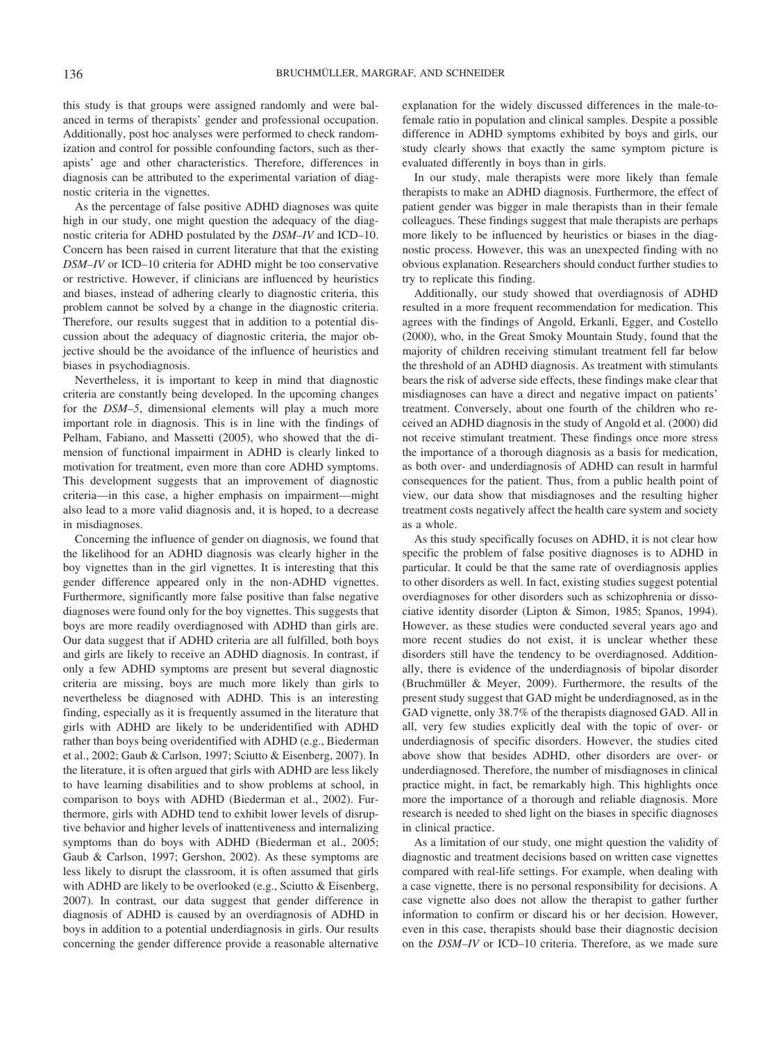this study is that groups were assigned randomly and were balanced in terms of therapists' gender and professional occupation. Additionally, post hoc analyses were performed to check randomization and control for possible confounding factors, such as therapists' age and other characteristics. Therefore, differences in diagnosis can be attributed to the experimental variation of diagnostic criteria in the vignettes.

As the percentage of false positive ADHD diagnoses was quite high in our study, one might question the adequacy of the diagnostic criteria for ADHD postulated by the *DSM–IV* and ICD–10. Concern has been raised in current literature that that the existing *DSM–IV* or ICD–10 criteria for ADHD might be too conservative or restrictive. However, if clinicians are influenced by heuristics and biases, instead of adhering clearly to diagnostic criteria, this problem cannot be solved by a change in the diagnostic criteria. Therefore, our results suggest that in addition to a potential discussion about the adequacy of diagnostic criteria, the major objective should be the avoidance of the influence of heuristics and biases in psychodiagnosis.

Nevertheless, it is important to keep in mind that diagnostic criteria are constantly being developed. In the upcoming changes for the *DSM–5*, dimensional elements will play a much more important role in diagnosis. This is in line with the findings of Pelham, Fabiano, and Massetti (2005), who showed that the dimension of functional impairment in ADHD is clearly linked to motivation for treatment, even more than core ADHD symptoms. This development suggests that an improvement of diagnostic criteria—in this case, a higher emphasis on impairment—might also lead to a more valid diagnosis and, it is hoped, to a decrease in misdiagnoses.

Concerning the influence of gender on diagnosis, we found that the likelihood for an ADHD diagnosis was clearly higher in the boy vignettes than in the girl vignettes. It is interesting that this gender difference appeared only in the non-ADHD vignettes. Furthermore, significantly more false positive than false negative diagnoses were found only for the boy vignettes. This suggests that boys are more readily overdiagnosed with ADHD than girls are. Our data suggest that if ADHD criteria are all fulfilled, both boys and girls are likely to receive an ADHD diagnosis. In contrast, if only a few ADHD symptoms are present but several diagnostic criteria are missing, boys are much more likely than girls to nevertheless be diagnosed with ADHD. This is an interesting finding, especially as it is frequently assumed in the literature that girls with ADHD are likely to be underidentified with ADHD rather than boys being overidentified with ADHD (e.g., Biederman et al., 2002; Gaub & Carlson, 1997; Sciutto & Eisenberg, 2007). In the literature, it is often argued that girls with ADHD are less likely to have learning disabilities and to show problems at school, in comparison to boys with ADHD (Biederman et al., 2002). Furthermore, girls with ADHD tend to exhibit lower levels of disruptive behavior and higher levels of inattentiveness and internalizing symptoms than do boys with ADHD (Biederman et al., 2005; Gaub & Carlson, 1997; Gershon, 2002). As these symptoms are less likely to disrupt the classroom, it is often assumed that girls with ADHD are likely to be overlooked (e.g., Sciutto & Eisenberg, 2007). In contrast, our data suggest that gender difference in diagnosis of ADHD is caused by an overdiagnosis of ADHD in boys in addition to a potential underdiagnosis in girls. Our results concerning the gender difference provide a reasonable alternative explanation for the widely discussed differences in the male-tofemale ratio in population and clinical samples. Despite a possible difference in ADHD symptoms exhibited by boys and girls, our study clearly shows that exactly the same symptom picture is evaluated differently in boys than in girls.

In our study, male therapists were more likely than female therapists to make an ADHD diagnosis. Furthermore, the effect of patient gender was bigger in male therapists than in their female colleagues. These findings suggest that male therapists are perhaps more likely to be influenced by heuristics or biases in the diagnostic process. However, this was an unexpected finding with no obvious explanation. Researchers should conduct further studies to try to replicate this finding.

Additionally, our study showed that overdiagnosis of ADHD resulted in a more frequent recommendation for medication. This agrees with the findings of Angold, Erkanli, Egger, and Costello (2000), who, in the Great Smoky Mountain Study, found that the majority of children receiving stimulant treatment fell far below the threshold of an ADHD diagnosis. As treatment with stimulants bears the risk of adverse side effects, these findings make clear that misdiagnoses can have a direct and negative impact on patients' treatment. Conversely, about one fourth of the children who received an ADHD diagnosis in the study of Angold et al. (2000) did not receive stimulant treatment. These findings once more stress the importance of a thorough diagnosis as a basis for medication, as both over- and underdiagnosis of ADHD can result in harmful consequences for the patient. Thus, from a public health point of view, our data show that misdiagnoses and the resulting higher treatment costs negatively affect the health care system and society as a whole.

As this study specifically focuses on ADHD, it is not clear how specific the problem of false positive diagnoses is to ADHD in particular. It could be that the same rate of overdiagnosis applies to other disorders as well. In fact, existing studies suggest potential overdiagnoses for other disorders such as schizophrenia or dissociative identity disorder (Lipton & Simon, 1985; Spanos, 1994). However, as these studies were conducted several years ago and more recent studies do not exist, it is unclear whether these disorders still have the tendency to be overdiagnosed. Additionally, there is evidence of the underdiagnosis of bipolar disorder (Bruchmüller  $&$  Meyer, 2009). Furthermore, the results of the present study suggest that GAD might be underdiagnosed, as in the GAD vignette, only 38.7% of the therapists diagnosed GAD. All in all, very few studies explicitly deal with the topic of over- or underdiagnosis of specific disorders. However, the studies cited above show that besides ADHD, other disorders are over- or underdiagnosed. Therefore, the number of misdiagnoses in clinical practice might, in fact, be remarkably high. This highlights once more the importance of a thorough and reliable diagnosis. More research is needed to shed light on the biases in specific diagnoses in clinical practice.

As a limitation of our study, one might question the validity of diagnostic and treatment decisions based on written case vignettes compared with real-life settings. For example, when dealing with a case vignette, there is no personal responsibility for decisions. A case vignette also does not allow the therapist to gather further information to confirm or discard his or her decision. However, even in this case, therapists should base their diagnostic decision on the *DSM–IV* or ICD–10 criteria. Therefore, as we made sure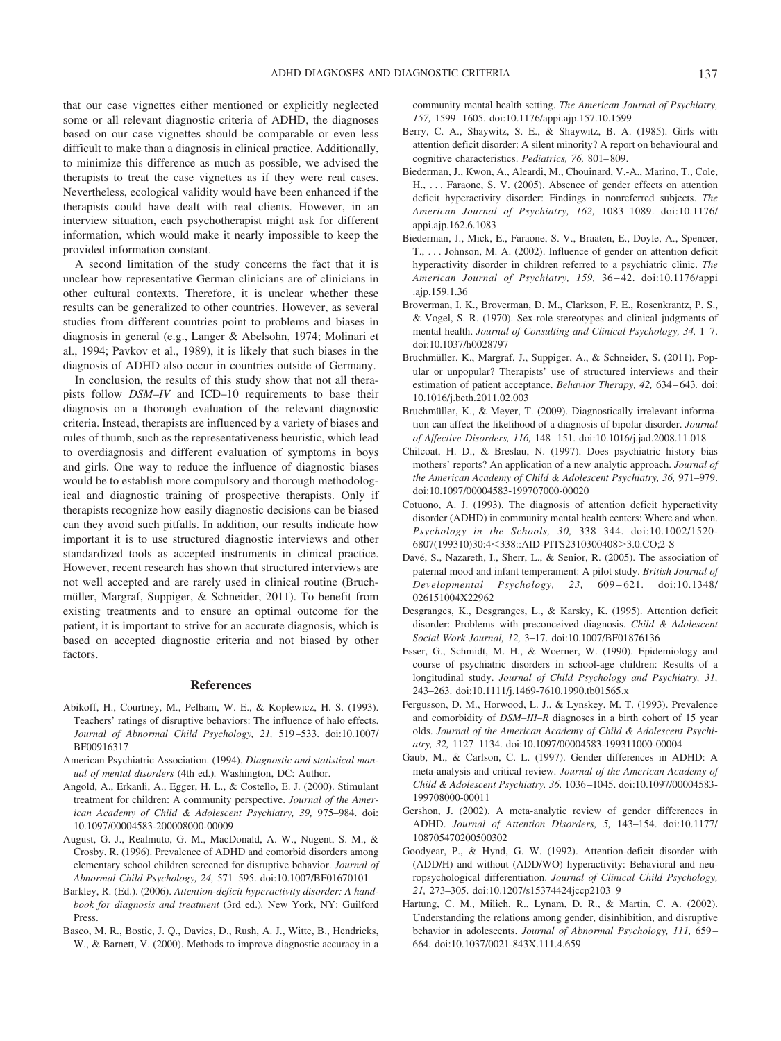that our case vignettes either mentioned or explicitly neglected some or all relevant diagnostic criteria of ADHD, the diagnoses based on our case vignettes should be comparable or even less difficult to make than a diagnosis in clinical practice. Additionally, to minimize this difference as much as possible, we advised the therapists to treat the case vignettes as if they were real cases. Nevertheless, ecological validity would have been enhanced if the therapists could have dealt with real clients. However, in an interview situation, each psychotherapist might ask for different information, which would make it nearly impossible to keep the provided information constant.

A second limitation of the study concerns the fact that it is unclear how representative German clinicians are of clinicians in other cultural contexts. Therefore, it is unclear whether these results can be generalized to other countries. However, as several studies from different countries point to problems and biases in diagnosis in general (e.g., Langer & Abelsohn, 1974; Molinari et al., 1994; Pavkov et al., 1989), it is likely that such biases in the diagnosis of ADHD also occur in countries outside of Germany.

In conclusion, the results of this study show that not all therapists follow *DSM–IV* and ICD–10 requirements to base their diagnosis on a thorough evaluation of the relevant diagnostic criteria. Instead, therapists are influenced by a variety of biases and rules of thumb, such as the representativeness heuristic, which lead to overdiagnosis and different evaluation of symptoms in boys and girls. One way to reduce the influence of diagnostic biases would be to establish more compulsory and thorough methodological and diagnostic training of prospective therapists. Only if therapists recognize how easily diagnostic decisions can be biased can they avoid such pitfalls. In addition, our results indicate how important it is to use structured diagnostic interviews and other standardized tools as accepted instruments in clinical practice. However, recent research has shown that structured interviews are not well accepted and are rarely used in clinical routine (Bruchmüller, Margraf, Suppiger, & Schneider, 2011). To benefit from existing treatments and to ensure an optimal outcome for the patient, it is important to strive for an accurate diagnosis, which is based on accepted diagnostic criteria and not biased by other factors.

#### **References**

- Abikoff, H., Courtney, M., Pelham, W. E., & Koplewicz, H. S. (1993). Teachers' ratings of disruptive behaviors: The influence of halo effects. *Journal of Abnormal Child Psychology, 21,* 519 –533. doi:10.1007/ BF00916317
- American Psychiatric Association. (1994). *Diagnostic and statistical manual of mental disorders* (4th ed.)*.* Washington, DC: Author.
- Angold, A., Erkanli, A., Egger, H. L., & Costello, E. J. (2000). Stimulant treatment for children: A community perspective. *Journal of the American Academy of Child & Adolescent Psychiatry, 39,* 975–984. doi: 10.1097/00004583-200008000-00009
- August, G. J., Realmuto, G. M., MacDonald, A. W., Nugent, S. M., & Crosby, R. (1996). Prevalence of ADHD and comorbid disorders among elementary school children screened for disruptive behavior. *Journal of Abnormal Child Psychology, 24,* 571–595. doi:10.1007/BF01670101
- Barkley, R. (Ed.). (2006). *Attention-deficit hyperactivity disorder: A handbook for diagnosis and treatment* (3rd ed.)*.* New York, NY: Guilford Press.
- Basco, M. R., Bostic, J. Q., Davies, D., Rush, A. J., Witte, B., Hendricks, W., & Barnett, V. (2000). Methods to improve diagnostic accuracy in a

community mental health setting. *The American Journal of Psychiatry, 157,* 1599 –1605. doi:10.1176/appi.ajp.157.10.1599

- Berry, C. A., Shaywitz, S. E., & Shaywitz, B. A. (1985). Girls with attention deficit disorder: A silent minority? A report on behavioural and cognitive characteristics. *Pediatrics, 76,* 801– 809.
- Biederman, J., Kwon, A., Aleardi, M., Chouinard, V.-A., Marino, T., Cole, H., . . . Faraone, S. V. (2005). Absence of gender effects on attention deficit hyperactivity disorder: Findings in nonreferred subjects. *The American Journal of Psychiatry, 162,* 1083–1089. doi:10.1176/ appi.ajp.162.6.1083
- Biederman, J., Mick, E., Faraone, S. V., Braaten, E., Doyle, A., Spencer, T., . . . Johnson, M. A. (2002). Influence of gender on attention deficit hyperactivity disorder in children referred to a psychiatric clinic. *The American Journal of Psychiatry, 159,* 36 – 42. doi:10.1176/appi .ajp.159.1.36
- Broverman, I. K., Broverman, D. M., Clarkson, F. E., Rosenkrantz, P. S., & Vogel, S. R. (1970). Sex-role stereotypes and clinical judgments of mental health. *Journal of Consulting and Clinical Psychology, 34,* 1–7. doi:10.1037/h0028797
- Bruchmüller, K., Margraf, J., Suppiger, A., & Schneider, S. (2011). Popular or unpopular? Therapists' use of structured interviews and their estimation of patient acceptance. *Behavior Therapy, 42, 634-643.* doi: 10.1016/j.beth.2011.02.003
- Bruchmüller, K., & Meyer, T. (2009). Diagnostically irrelevant information can affect the likelihood of a diagnosis of bipolar disorder. *Journal of Affective Disorders, 116,* 148 –151. doi:10.1016/j.jad.2008.11.018
- Chilcoat, H. D., & Breslau, N. (1997). Does psychiatric history bias mothers' reports? An application of a new analytic approach. *Journal of the American Academy of Child & Adolescent Psychiatry, 36,* 971–979. doi:10.1097/00004583-199707000-00020
- Cotuono, A. J. (1993). The diagnosis of attention deficit hyperactivity disorder (ADHD) in community mental health centers: Where and when. *Psychology in the Schools, 30,* 338 –344. doi:10.1002/1520- 6807(199310)30:4<338::AID-PITS2310300408>3.0.CO;2-S
- Davé, S., Nazareth, I., Sherr, L., & Senior, R. (2005). The association of paternal mood and infant temperament: A pilot study. *British Journal of Developmental Psychology, 23,* 609 – 621. doi:10.1348/ 026151004X22962
- Desgranges, K., Desgranges, L., & Karsky, K. (1995). Attention deficit disorder: Problems with preconceived diagnosis. *Child & Adolescent Social Work Journal, 12,* 3–17. doi:10.1007/BF01876136
- Esser, G., Schmidt, M. H., & Woerner, W. (1990). Epidemiology and course of psychiatric disorders in school-age children: Results of a longitudinal study. *Journal of Child Psychology and Psychiatry, 31,* 243–263. doi:10.1111/j.1469-7610.1990.tb01565.x
- Fergusson, D. M., Horwood, L. J., & Lynskey, M. T. (1993). Prevalence and comorbidity of *DSM–III–R* diagnoses in a birth cohort of 15 year olds. *Journal of the American Academy of Child & Adolescent Psychiatry, 32,* 1127–1134. doi:10.1097/00004583-199311000-00004
- Gaub, M., & Carlson, C. L. (1997). Gender differences in ADHD: A meta-analysis and critical review. *Journal of the American Academy of Child & Adolescent Psychiatry, 36,* 1036 –1045. doi:10.1097/00004583- 199708000-00011
- Gershon, J. (2002). A meta-analytic review of gender differences in ADHD. *Journal of Attention Disorders, 5,* 143–154. doi:10.1177/ 108705470200500302
- Goodyear, P., & Hynd, G. W. (1992). Attention-deficit disorder with (ADD/H) and without (ADD/WO) hyperactivity: Behavioral and neuropsychological differentiation. *Journal of Clinical Child Psychology, 21,* 273–305. doi:10.1207/s15374424jccp2103\_9
- Hartung, C. M., Milich, R., Lynam, D. R., & Martin, C. A. (2002). Understanding the relations among gender, disinhibition, and disruptive behavior in adolescents. *Journal of Abnormal Psychology, 111,* 659 – 664. doi:10.1037/0021-843X.111.4.659